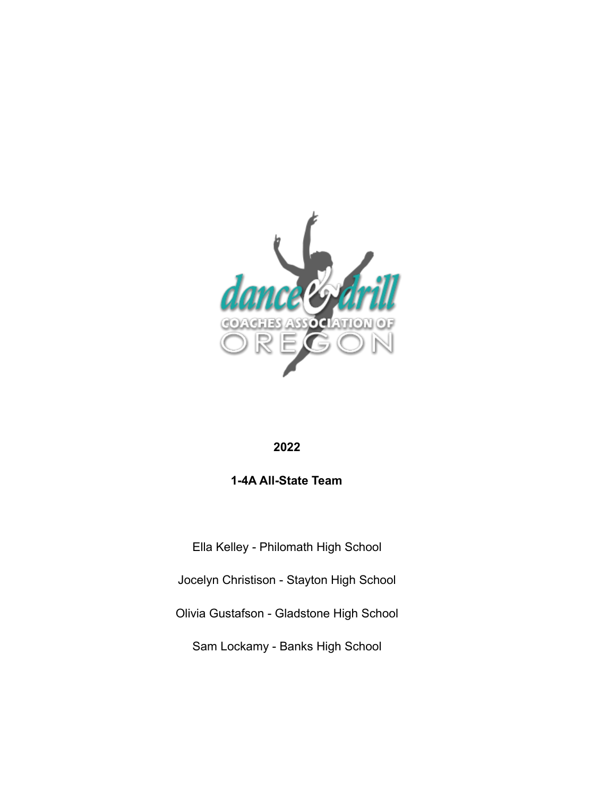

## **2022**

# **1-4A All-State Team**

Ella Kelley - Philomath High School

Jocelyn Christison - Stayton High School

Olivia Gustafson - Gladstone High School

Sam Lockamy - Banks High School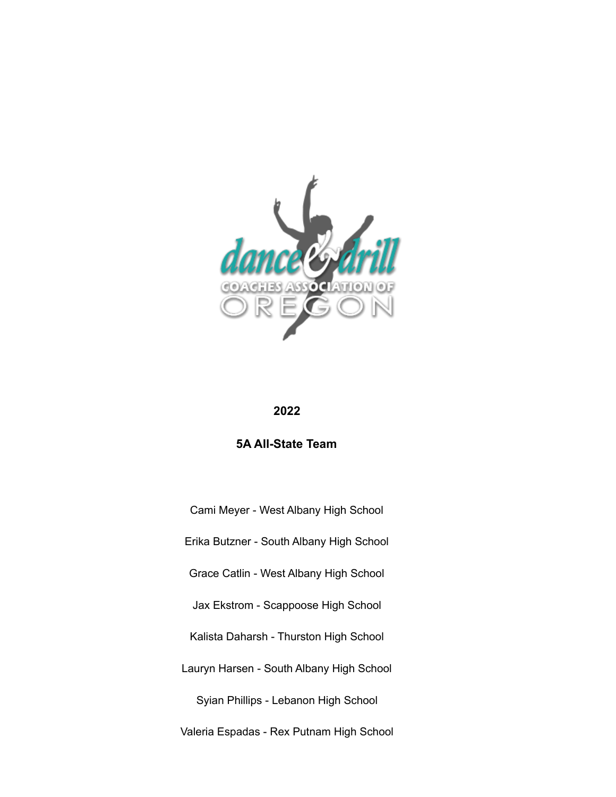

#### **2022**

### **5A All-State Team**

Cami Meyer - West Albany High School Erika Butzner - South Albany High School Grace Catlin - West Albany High School Jax Ekstrom - Scappoose High School Kalista Daharsh - Thurston High School Lauryn Harsen - South Albany High School Syian Phillips - Lebanon High School Valeria Espadas - Rex Putnam High School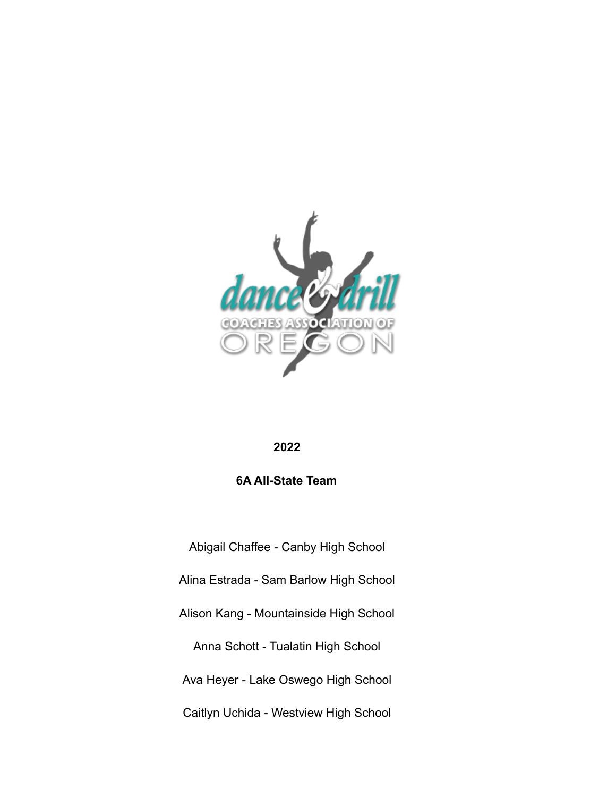

#### **2022**

### **6A All-State Team**

Abigail Chaffee - Canby High School Alina Estrada - Sam Barlow High School Alison Kang - Mountainside High School Anna Schott - Tualatin High School Ava Heyer - Lake Oswego High School Caitlyn Uchida - Westview High School